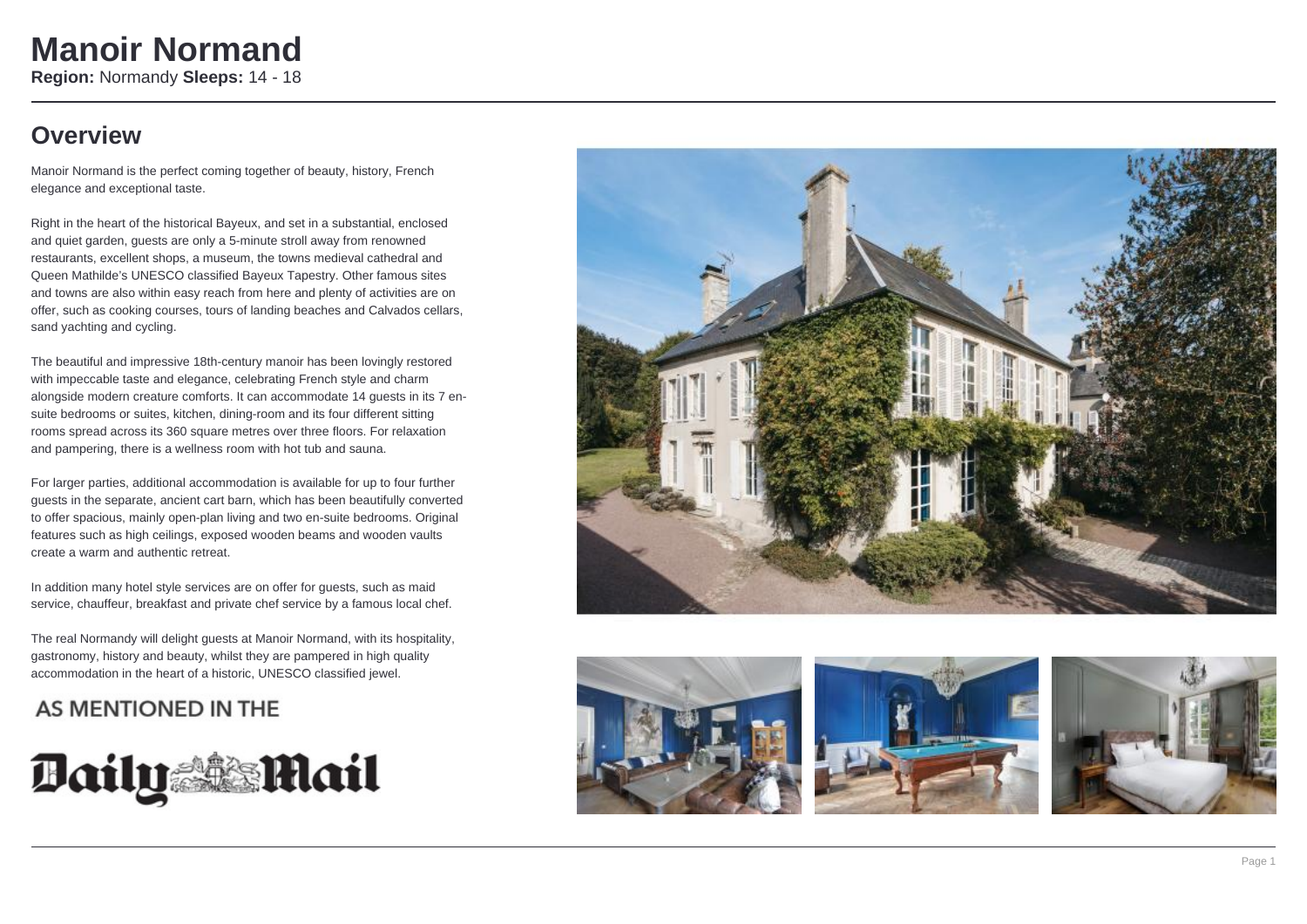### **Overview**

Manoir Normand is the perfect coming together of beauty, history, French elegance and exceptional taste.

Right in the heart of the historical Bayeux, and set in a substantial, enclosed and quiet garden, guests are only a 5-minute stroll away from renowned restaurants, excellent shops, a museum, the towns medieval cathedral and Queen Mathilde's UNESCO classified Bayeux Tapestry. Other famous sites and towns are also within easy reach from here and plenty of activities are on offer, such as cooking courses, tours of landing beaches and Calvados cellars, sand yachting and cycling.

The beautiful and impressive 18th-century manoir has been lovingly restored with impeccable taste and elegance, celebrating French style and charm alongside modern creature comforts. It can accommodate 14 guests in its 7 ensuite bedrooms or suites, kitchen, dining-room and its four different sitting rooms spread across its 360 square metres over three floors. For relaxation and pampering, there is a wellness room with hot tub and sauna.

For larger parties, additional accommodation is available for up to four further guests in the separate, ancient cart barn, which has been beautifully converted to offer spacious, mainly open-plan living and two en-suite bedrooms. Original features such as high ceilings, exposed wooden beams and wooden vaults create a warm and authentic retreat.

In addition many hotel style services are on offer for guests, such as maid service, chauffeur, breakfast and private chef service by a famous local chef.

The real Normandy will delight guests at Manoir Normand, with its hospitality, gastronomy, history and beauty, whilst they are pampered in high quality accommodation in the heart of a historic, UNESCO classified jewel.

### AS MENTIONED IN THE









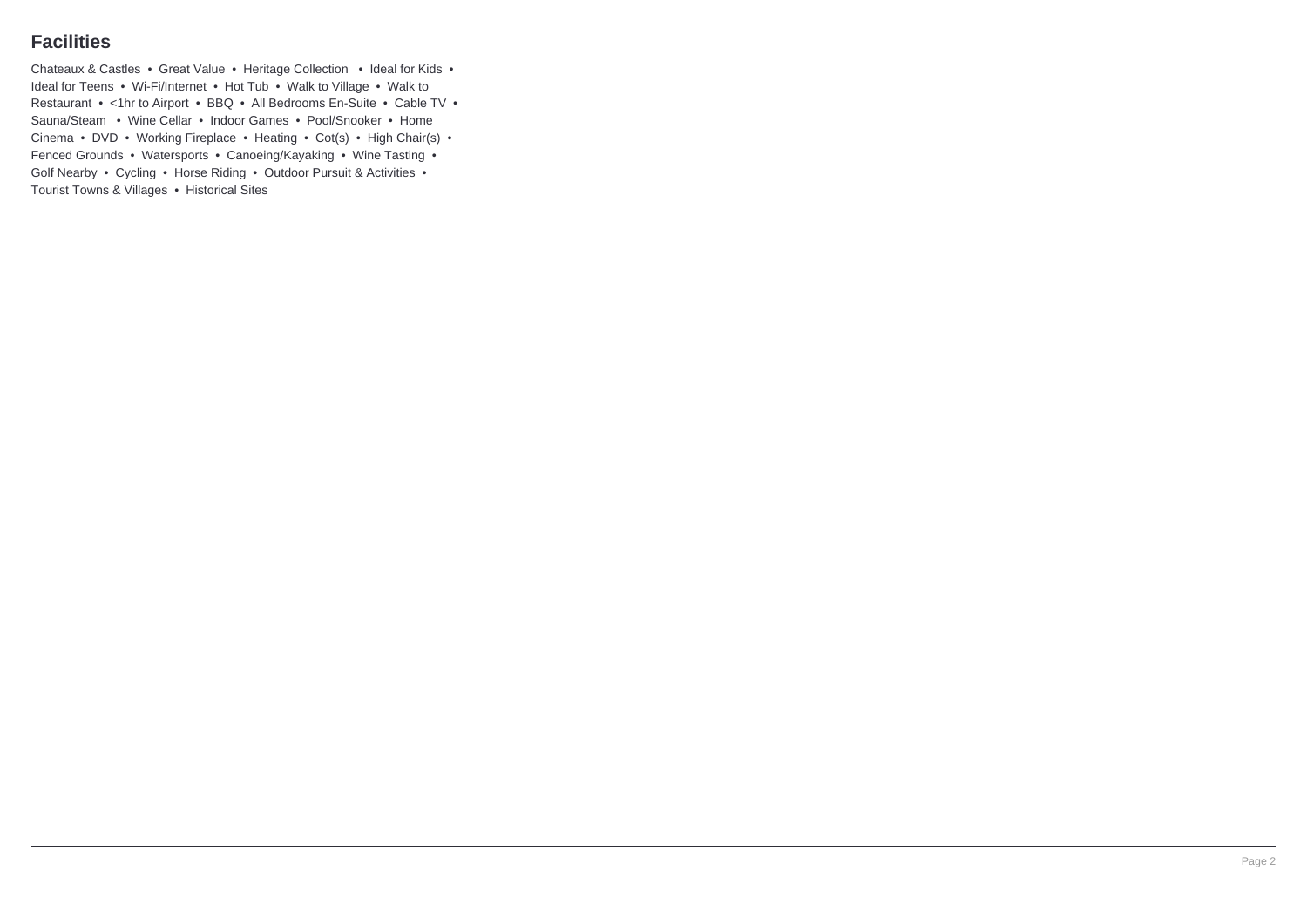### **Facilities**

Chateaux & Castles • Great Value • Heritage Collection • Ideal for Kids • Ideal for Teens • Wi-Fi/Internet • Hot Tub • Walk to Village • Walk to Restaurant • <1hr to Airport • BBQ • All Bedrooms En-Suite • Cable TV • Sauna/Steam • Wine Cellar • Indoor Games • Pool/Snooker • Home Cinema • DVD • Working Fireplace • Heating • Cot(s) • High Chair(s) • Fenced Grounds • Watersports • Canoeing/Kayaking • Wine Tasting • Golf Nearby • Cycling • Horse Riding • Outdoor Pursuit & Activities • Tourist Towns & Villages • Historical Sites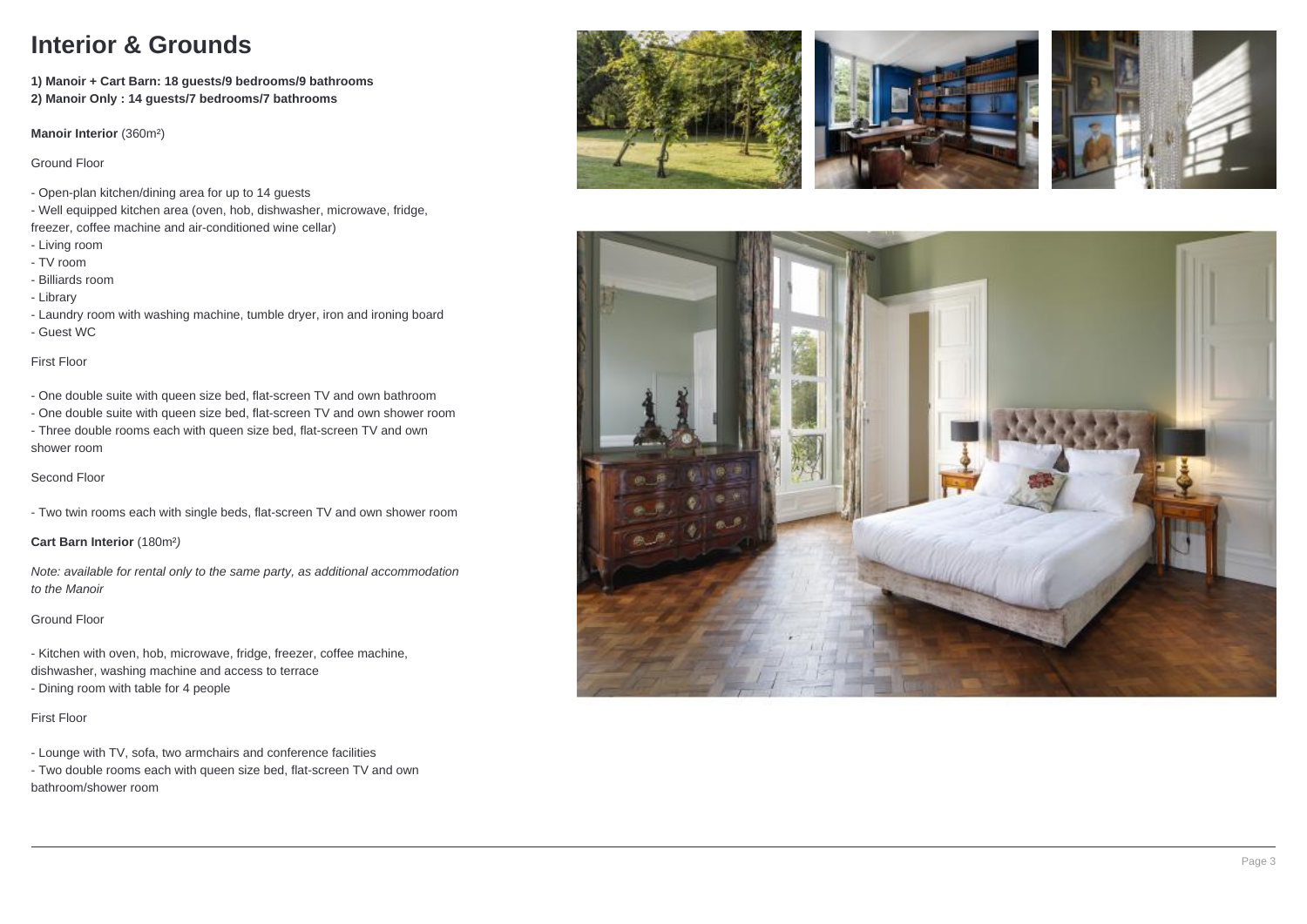### **Interior & Grounds**

**1) Manoir + Cart Barn: 18 guests/9 bedrooms/9 bathrooms 2) Manoir Only : 14 guests/7 bedrooms/7 bathrooms**

**Manoir Interior** (360m²)

Ground Floor

- Open-plan kitchen/dining area for up to 14 guests

- Well equipped kitchen area (oven, hob, dishwasher, microwave, fridge,

- freezer, coffee machine and air-conditioned wine cellar)
- Living room
- TV room
- Billiards room
- Library

- Laundry room with washing machine, tumble dryer, iron and ironing board - Guest WC

#### First Floor

- One double suite with queen size bed, flat-screen TV and own bathroom

- One double suite with queen size bed, flat-screen TV and own shower room - Three double rooms each with queen size bed, flat-screen TV and own shower room

#### Second Floor

- Two twin rooms each with single beds, flat-screen TV and own shower room

**Cart Barn Interior** (180m² )

Note: available for rental only to the same party, as additional accommodation to the Manoir

#### Ground Floor

- Kitchen with oven, hob, microwave, fridge, freezer, coffee machine,

dishwasher, washing machine and access to terrace

- Dining room with table for 4 people

#### First Floor

- Lounge with TV, sofa, two armchairs and conference facilities

- Two double rooms each with queen size bed, flat-screen TV and own bathroom/shower room







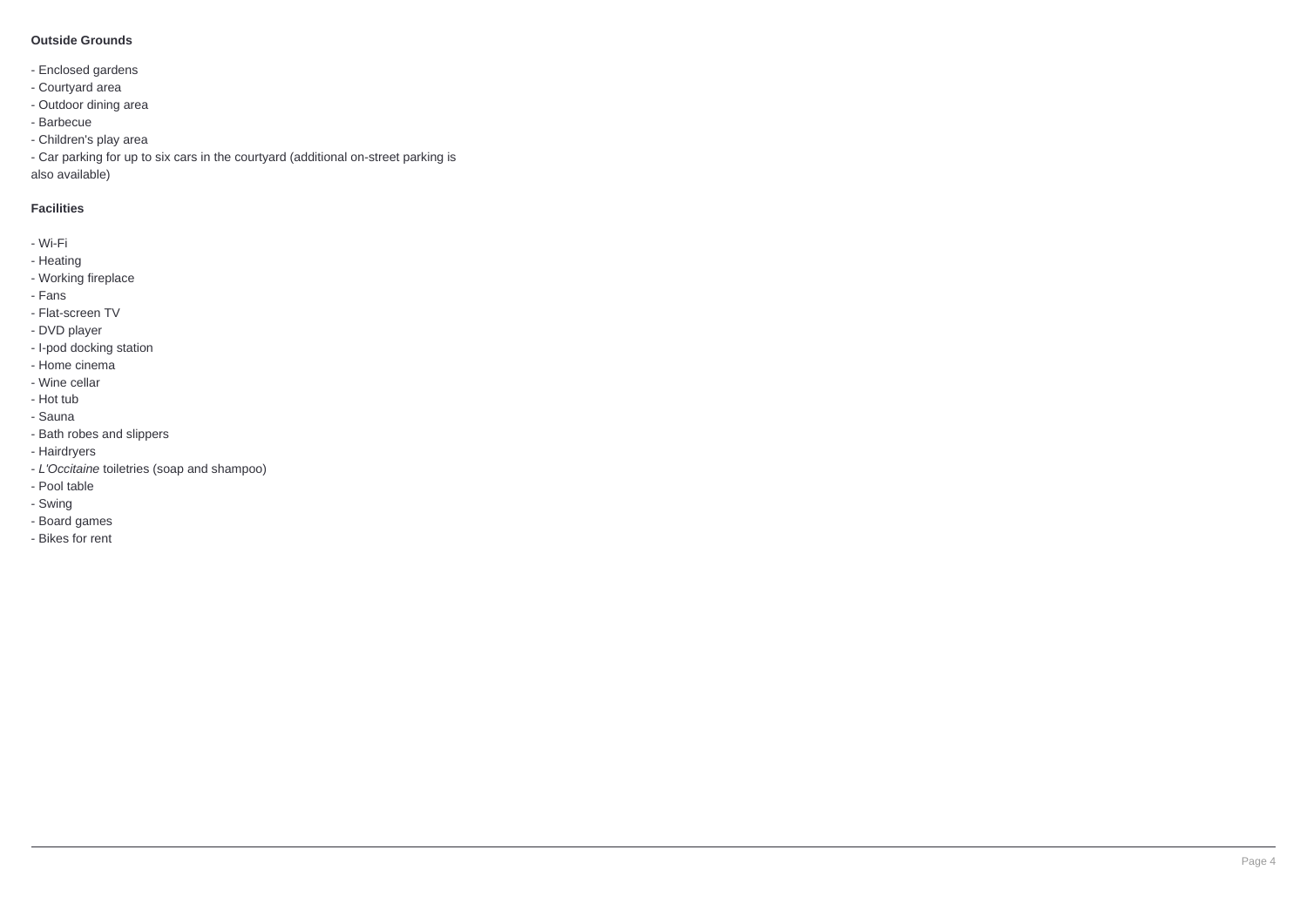#### **Outside Grounds**

- Enclosed gardens
- Courtyard area
- Outdoor dining area
- Barbecue
- Children's play area

- Car parking for up to six cars in the courtyard (additional on-street parking is also available)

#### **Facilities**

- Wi-Fi
- Heating
- Working fireplace
- Fans
- Flat-screen TV
- DVD player
- I-pod docking station
- Home cinema
- Wine cellar
- Hot tub
- Sauna
- Bath robes and slippers
- Hairdryers
- L'Occitaine toiletries (soap and shampoo)
- Pool table
- Swing
- Board games
- Bikes for rent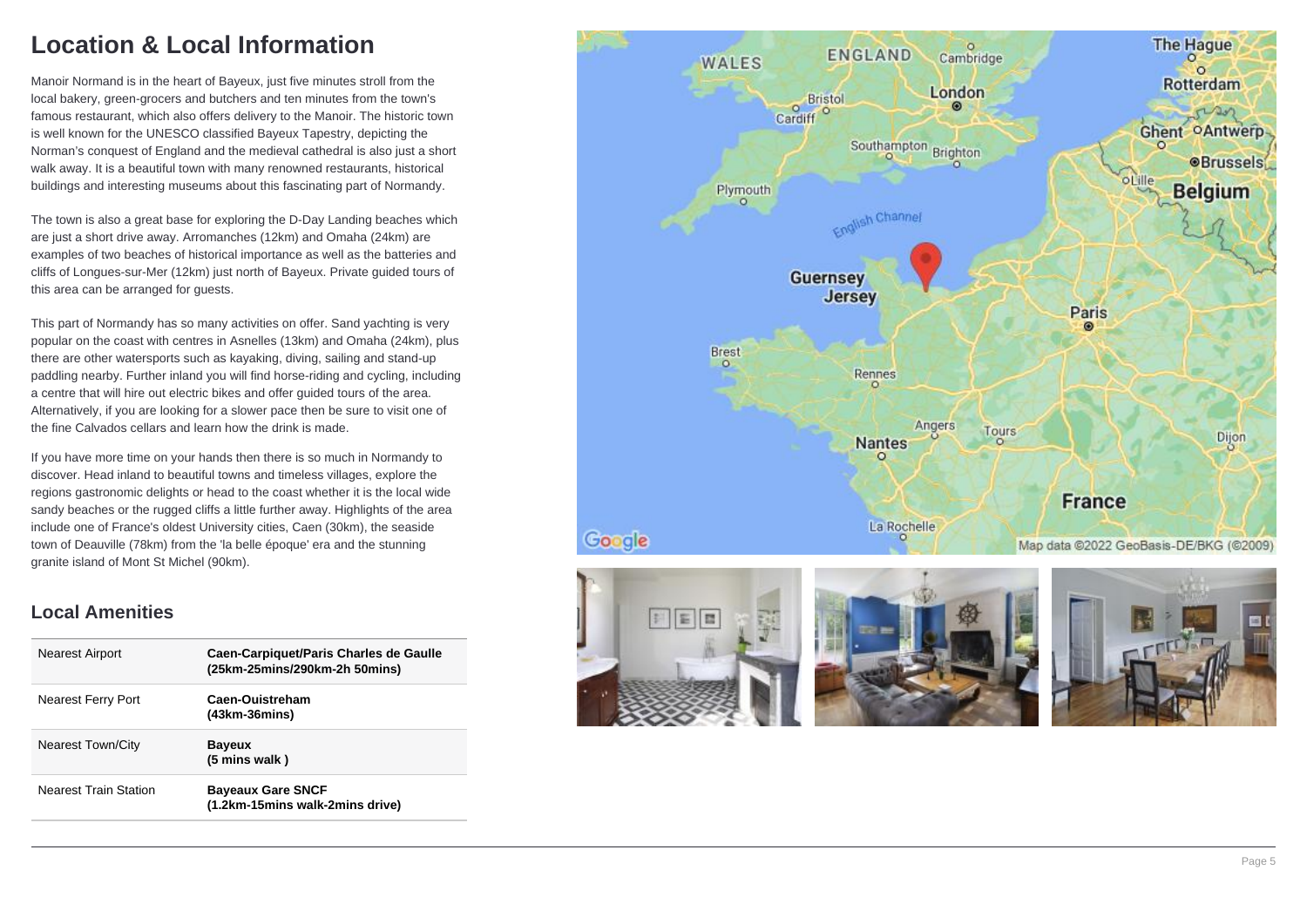### **Location & Local Information**

Manoir Normand is in the heart of Bayeux, just five minutes stroll from the local bakery, green-grocers and butchers and ten minutes from the town's famous restaurant, which also offers delivery to the Manoir. The historic town is well known for the UNESCO classified Bayeux Tapestry, depicting the Norman's conquest of England and the medieval cathedral is also just a short walk away. It is a beautiful town with many renowned restaurants, historical buildings and interesting museums about this fascinating part of Normandy.

The town is also a great base for exploring the D-Day Landing beaches which are just a short drive away. Arromanches (12km) and Omaha (24km) are examples of two beaches of historical importance as well as the batteries and cliffs of Longues-sur-Mer (12km) just north of Bayeux. Private guided tours of this area can be arranged for guests.

This part of Normandy has so many activities on offer. Sand yachting is very popular on the coast with centres in Asnelles (13km) and Omaha (24km), plus there are other watersports such as kayaking, diving, sailing and stand-up paddling nearby. Further inland you will find horse-riding and cycling, including a centre that will hire out electric bikes and offer guided tours of the area. Alternatively, if you are looking for a slower pace then be sure to visit one of the fine Calvados cellars and learn how the drink is made.

If you have more time on your hands then there is so much in Normandy to discover. Head inland to beautiful towns and timeless villages, explore the regions gastronomic delights or head to the coast whether it is the local wide sandy beaches or the rugged cliffs a little further away. Highlights of the area include one of France's oldest University cities, Caen (30km), the seaside town of Deauville (78km) from the 'la belle époque' era and the stunning granite island of Mont St Michel (90km).

### **Local Amenities**

| <b>Nearest Airport</b>       | Caen-Carpiquet/Paris Charles de Gaulle<br>(25km-25mins/290km-2h 50mins) |
|------------------------------|-------------------------------------------------------------------------|
| <b>Nearest Ferry Port</b>    | Caen-Ouistreham<br>$(43km-36mins)$                                      |
| <b>Nearest Town/City</b>     | <b>Bayeux</b><br>(5 mins walk)                                          |
| <b>Nearest Train Station</b> | <b>Bayeaux Gare SNCF</b><br>(1.2km-15mins walk-2mins drive)             |







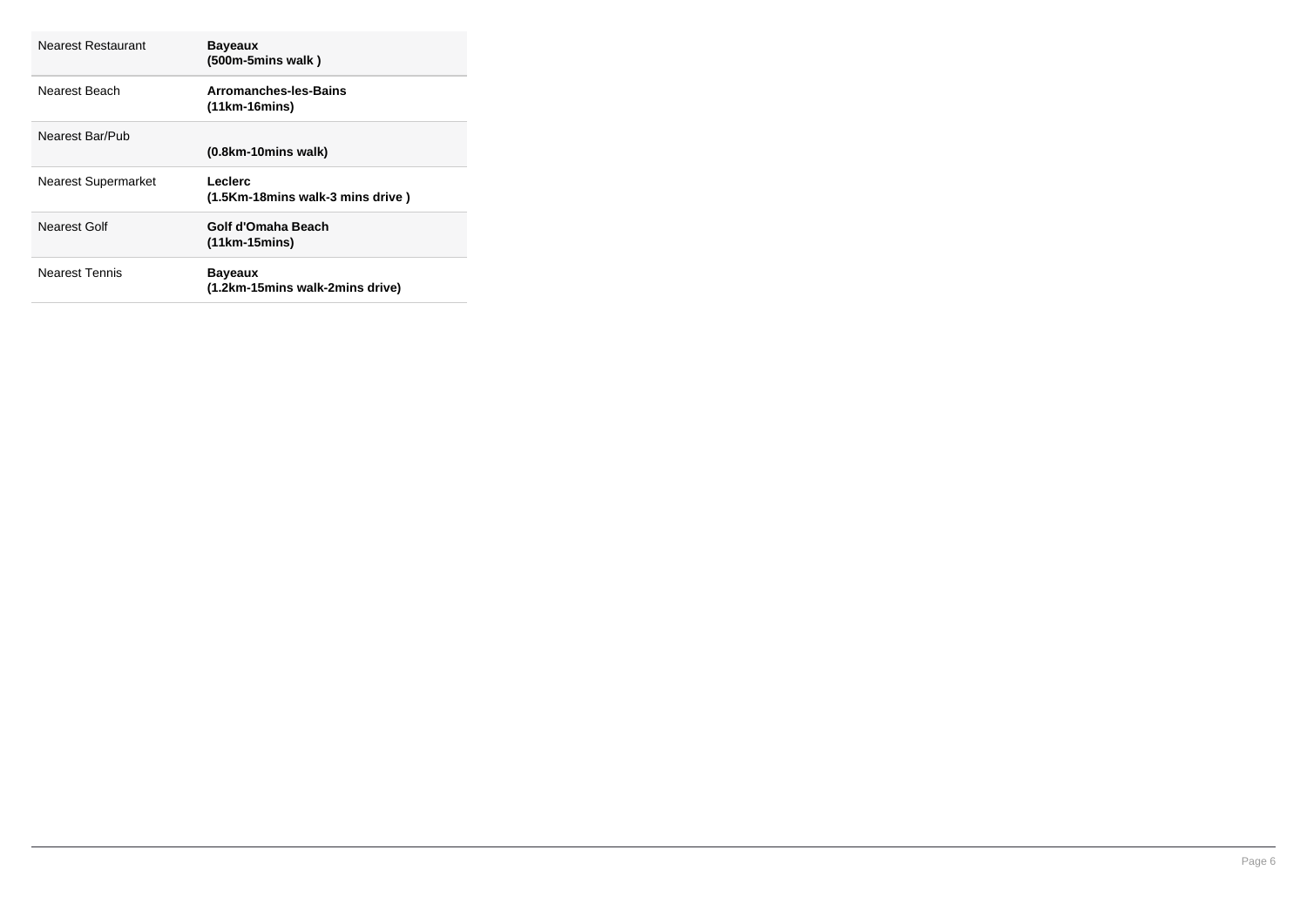| Nearest Restaurant         | <b>Bayeaux</b><br>$(500m-5mins walk)$             |
|----------------------------|---------------------------------------------------|
| Nearest Beach              | Arromanches-les-Bains<br>$(11km-16mins)$          |
| Nearest Bar/Pub            | $(0.8km-10 mins$ walk)                            |
| <b>Nearest Supermarket</b> | Leclerc<br>(1.5Km-18mins walk-3 mins drive)       |
| Nearest Golf               | Golf d'Omaha Beach<br>$(11km-15mins)$             |
| <b>Nearest Tennis</b>      | <b>Bayeaux</b><br>(1.2km-15mins walk-2mins drive) |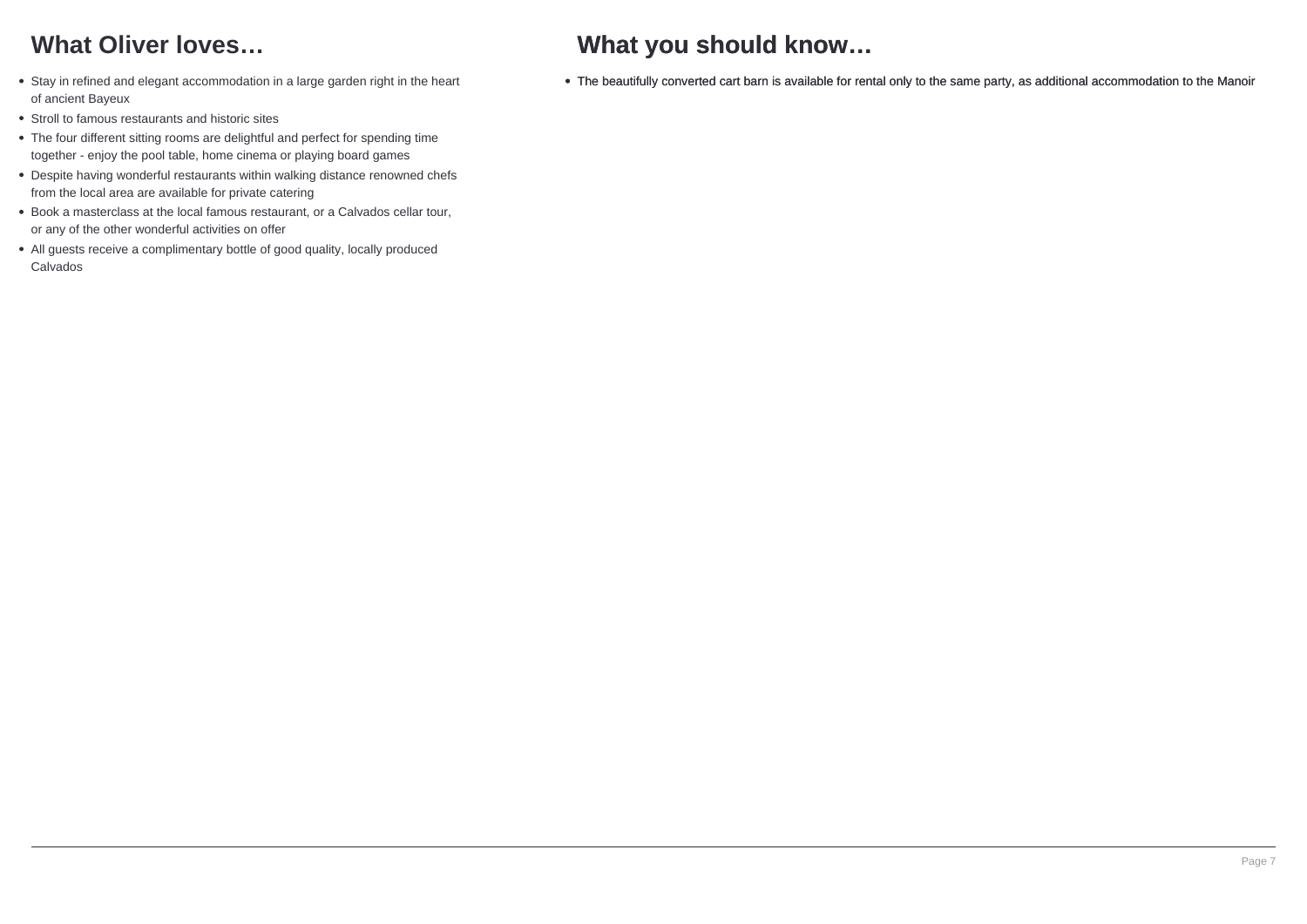## **What Oliver loves…**

- Stay in refined and elegant accommodation in a large garden right in the heart of ancient Bayeux
- Stroll to famous restaurants and historic sites
- The four different sitting rooms are delightful and perfect for spending time together - enjoy the pool table, home cinema or playing board games
- Despite having wonderful restaurants within walking distance renowned chefs from the local area are available for private catering
- Book a masterclass at the local famous restaurant, or a Calvados cellar tour, or any of the other wonderful activities on offer
- All guests receive a complimentary bottle of good quality, locally produced Calvados

# **What you should know…**

The beautifully converted cart barn is available for rental only to the same party, as additional accommodation to the Manoir